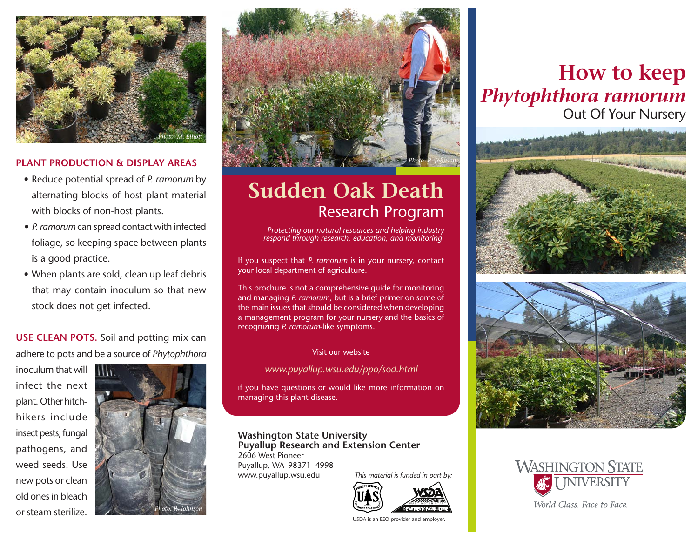

### **PLANT PRODUCTION & DISPLAY AREAS**

- Reduce potential spread of *P. ramorum* by alternating blocks of host plant material with blocks of non-host plants.
- *• P. ramorum* can spread contact with infected foliage, so keeping space between plants is a good practice.
- When plants are sold, clean up leaf debris that may contain inoculum so that new stock does not get infected.

**USE CLEAN POTS.** Soil and potting mix can adhere to pots and be a source of *Phytophthora*

inoculum that will infect the next plant. Other hitchhikers include insect pests, fungal pathogens, and weed seeds. Use new pots or clean old ones in bleach or steam sterilize.





# **Sudden Oak Death** Research Program

*Protecting our natural resources and helping industry respond through research, education, and monitoring.*

If you suspect that *P. ramorum* is in your nursery, contact your local department of agriculture.

This brochure is not a comprehensive guide for monitoring and managing *P. ramorum*, but is a brief primer on some of the main issues that should be considered when developing a management program for your nursery and the basics of recognizing *P. ramorum*-like symptoms.

#### Visit our website

*www.puyallup.wsu.edu/ppo/sod.html*

if you have questions or would like more information on managing this plant disease.

#### **Washington State University Puyallup Research and Extension Center**

2606 West Pioneer Puyallup, WA 98371–4998 www.puyallup.wsu.edu

*This material is funded in part by:*



USDA is an EEO provider and employer.

## **How to keep**  *Phytophthora ramorum*  Out Of Your Nursery